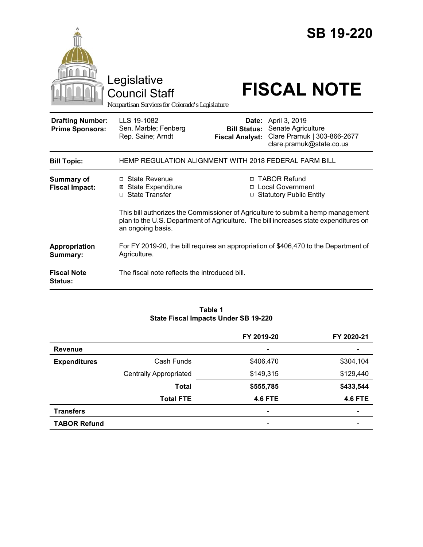|                                                   | Legislative<br><b>Council Staff</b><br>Nonpartisan Services for Colorado's Legislature    |                                               | <b>SB 19-220</b><br><b>FISCAL NOTE</b>                                                                                                                                                                                                        |
|---------------------------------------------------|-------------------------------------------------------------------------------------------|-----------------------------------------------|-----------------------------------------------------------------------------------------------------------------------------------------------------------------------------------------------------------------------------------------------|
| <b>Drafting Number:</b><br><b>Prime Sponsors:</b> | LLS 19-1082<br>Sen. Marble; Fenberg<br>Rep. Saine; Arndt                                  | <b>Bill Status:</b><br><b>Fiscal Analyst:</b> | <b>Date:</b> April 3, 2019<br>Senate Agriculture<br>Clare Pramuk   303-866-2677<br>clare.pramuk@state.co.us                                                                                                                                   |
| <b>Bill Topic:</b>                                | HEMP REGULATION ALIGNMENT WITH 2018 FEDERAL FARM BILL                                     |                                               |                                                                                                                                                                                                                                               |
| <b>Summary of</b><br><b>Fiscal Impact:</b>        | □ State Revenue<br><b>State Expenditure</b><br>⊠<br>□ State Transfer<br>an ongoing basis. |                                               | □ TABOR Refund<br>□ Local Government<br>□ Statutory Public Entity<br>This bill authorizes the Commissioner of Agriculture to submit a hemp management<br>plan to the U.S. Department of Agriculture. The bill increases state expenditures on |
| Appropriation<br>Summary:                         | Agriculture.                                                                              |                                               | For FY 2019-20, the bill requires an appropriation of \$406,470 to the Department of                                                                                                                                                          |
| <b>Fiscal Note</b><br><b>Status:</b>              | The fiscal note reflects the introduced bill.                                             |                                               |                                                                                                                                                                                                                                               |

#### **Table 1 State Fiscal Impacts Under SB 19-220**

|                     |                               | FY 2019-20               | FY 2020-21     |
|---------------------|-------------------------------|--------------------------|----------------|
| <b>Revenue</b>      |                               | $\overline{\phantom{a}}$ |                |
| <b>Expenditures</b> | Cash Funds                    | \$406,470                | \$304,104      |
|                     | <b>Centrally Appropriated</b> | \$149,315                | \$129,440      |
|                     | <b>Total</b>                  | \$555,785                | \$433,544      |
|                     | <b>Total FTE</b>              | <b>4.6 FTE</b>           | <b>4.6 FTE</b> |
| <b>Transfers</b>    |                               | $\overline{\phantom{a}}$ | -              |
| <b>TABOR Refund</b> |                               | -                        |                |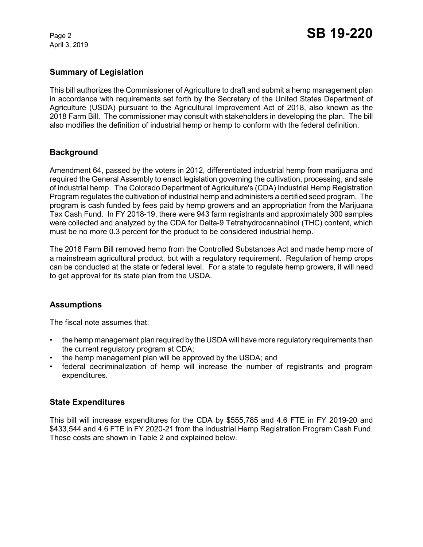April 3, 2019

## **Summary of Legislation**

This bill authorizes the Commissioner of Agriculture to draft and submit a hemp management plan in accordance with requirements set forth by the Secretary of the United States Department of Agriculture (USDA) pursuant to the Agricultural Improvement Act of 2018, also known as the 2018 Farm Bill. The commissioner may consult with stakeholders in developing the plan. The bill also modifies the definition of industrial hemp or hemp to conform with the federal definition.

## **Background**

Amendment 64, passed by the voters in 2012, differentiated industrial hemp from marijuana and required the General Assembly to enact legislation governing the cultivation, processing, and sale of industrial hemp. The Colorado Department of Agriculture's (CDA) Industrial Hemp Registration Program regulates the cultivation of industrial hemp and administers a certified seed program. The program is cash funded by fees paid by hemp growers and an appropriation from the Marijuana Tax Cash Fund. In FY 2018-19, there were 943 farm registrants and approximately 300 samples were collected and analyzed by the CDA for Delta-9 Tetrahydrocannabinol (THC) content, which must be no more 0.3 percent for the product to be considered industrial hemp.

The 2018 Farm Bill removed hemp from the Controlled Substances Act and made hemp more of a mainstream agricultural product, but with a regulatory requirement. Regulation of hemp crops can be conducted at the state or federal level. For a state to regulate hemp growers, it will need to get approval for its state plan from the USDA.

# **Assumptions**

The fiscal note assumes that:

- the hemp management plan required by the USDA will have more regulatory requirements than the current regulatory program at CDA;
- the hemp management plan will be approved by the USDA; and
- federal decriminalization of hemp will increase the number of registrants and program expenditures.

#### **State Expenditures**

This bill will increase expenditures for the CDA by \$555,785 and 4.6 FTE in FY 2019-20 and \$433,544 and 4.6 FTE in FY 2020-21 from the Industrial Hemp Registration Program Cash Fund. These costs are shown in Table 2 and explained below.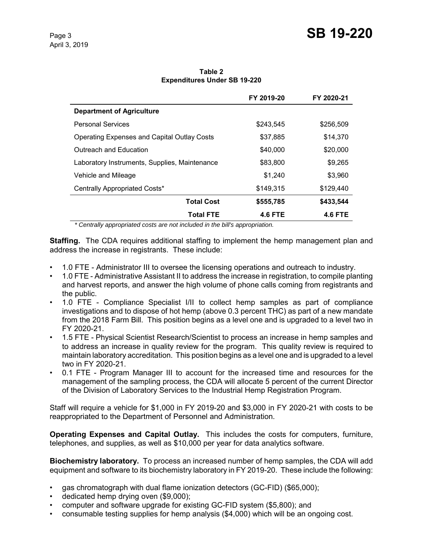**Table 2 Expenditures Under SB 19-220**

|                                                    | FY 2019-20     | FY 2020-21     |
|----------------------------------------------------|----------------|----------------|
| <b>Department of Agriculture</b>                   |                |                |
| <b>Personal Services</b>                           | \$243.545      | \$256,509      |
| <b>Operating Expenses and Capital Outlay Costs</b> | \$37,885       | \$14,370       |
| Outreach and Education                             | \$40,000       | \$20,000       |
| Laboratory Instruments, Supplies, Maintenance      | \$83,800       | \$9,265        |
| Vehicle and Mileage                                | \$1,240        | \$3,960        |
| Centrally Appropriated Costs*                      | \$149.315      | \$129,440      |
| <b>Total Cost</b>                                  | \$555,785      | \$433,544      |
| <b>Total FTE</b>                                   | <b>4.6 FTE</b> | <b>4.6 FTE</b> |

 *\* Centrally appropriated costs are not included in the bill's appropriation.*

**Staffing.** The CDA requires additional staffing to implement the hemp management plan and address the increase in registrants. These include:

- 1.0 FTE Administrator III to oversee the licensing operations and outreach to industry.
- 1.0 FTE Administrative Assistant II to address the increase in registration, to compile planting and harvest reports, and answer the high volume of phone calls coming from registrants and the public.
- 1.0 FTE Compliance Specialist I/II to collect hemp samples as part of compliance investigations and to dispose of hot hemp (above 0.3 percent THC) as part of a new mandate from the 2018 Farm Bill. This position begins as a level one and is upgraded to a level two in FY 2020-21.
- 1.5 FTE Physical Scientist Research/Scientist to process an increase in hemp samples and to address an increase in quality review for the program. This quality review is required to maintain laboratory accreditation. This position begins as a level one and is upgraded to a level two in FY 2020-21.
- 0.1 FTE Program Manager III to account for the increased time and resources for the management of the sampling process, the CDA will allocate 5 percent of the current Director of the Division of Laboratory Services to the Industrial Hemp Registration Program.

Staff will require a vehicle for \$1,000 in FY 2019-20 and \$3,000 in FY 2020-21 with costs to be reappropriated to the Department of Personnel and Administration.

**Operating Expenses and Capital Outlay.** This includes the costs for computers, furniture, telephones, and supplies, as well as \$10,000 per year for data analytics software.

**Biochemistry laboratory.** To process an increased number of hemp samples, the CDA will add equipment and software to its biochemistry laboratory in FY 2019-20. These include the following:

- gas chromatograph with dual flame ionization detectors (GC-FID) (\$65,000);
- dedicated hemp drying oven (\$9,000);
- computer and software upgrade for existing GC-FID system (\$5,800); and
- consumable testing supplies for hemp analysis (\$4,000) which will be an ongoing cost.